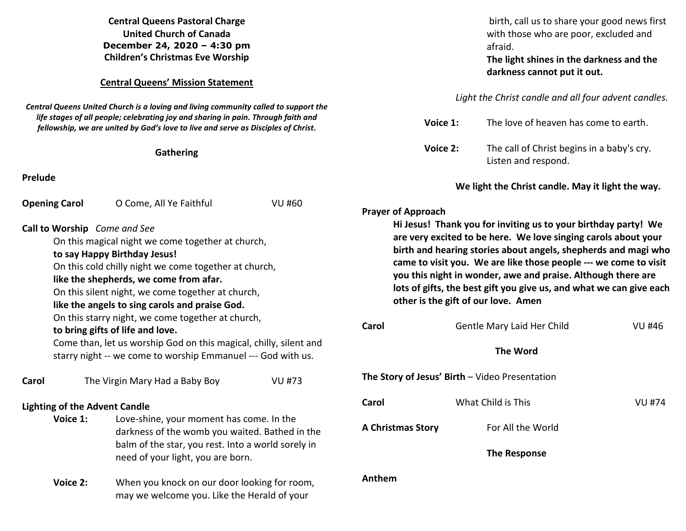**Central Queens Pastoral Charge United Church of Canada December 24, 2020 – 4:30 pm Children's Christmas Eve Worship** 

## **Central Queens' Mission Statement**

*Central Queens United Church is a loving and living community called to support the life stages of all people; celebrating joy and sharing in pain. Through faith and fellowship, we are united by God's love to live and serve as Disciples of Christ***.** 

## **Gathering**

**Prelude** 

| <b>Opening Carol</b>                                                                  | O Come, All Ye Faithful                                                                                 | <b>VU #60</b>                                                                                                                                                                         |                     |
|---------------------------------------------------------------------------------------|---------------------------------------------------------------------------------------------------------|---------------------------------------------------------------------------------------------------------------------------------------------------------------------------------------|---------------------|
|                                                                                       |                                                                                                         |                                                                                                                                                                                       | <b>Prayer of Ap</b> |
|                                                                                       | Call to Worship Come and See                                                                            |                                                                                                                                                                                       | Hi Jes              |
| On this magical night we come together at church,                                     | are v                                                                                                   |                                                                                                                                                                                       |                     |
| to say Happy Birthday Jesus!                                                          | birth                                                                                                   |                                                                                                                                                                                       |                     |
| On this cold chilly night we come together at church,                                 | came                                                                                                    |                                                                                                                                                                                       |                     |
| like the shepherds, we come from afar.                                                | you t                                                                                                   |                                                                                                                                                                                       |                     |
| On this silent night, we come together at church,                                     | lots c                                                                                                  |                                                                                                                                                                                       |                     |
| like the angels to sing carols and praise God.                                        | other                                                                                                   |                                                                                                                                                                                       |                     |
| On this starry night, we come together at church,<br>to bring gifts of life and love. |                                                                                                         |                                                                                                                                                                                       | Carol               |
|                                                                                       | Come than, let us worship God on this magical, chilly, silent and                                       |                                                                                                                                                                                       |                     |
|                                                                                       | starry night -- we come to worship Emmanuel --- God with us.                                            |                                                                                                                                                                                       |                     |
| Carol                                                                                 | The Virgin Mary Had a Baby Boy                                                                          | <b>VU #73</b>                                                                                                                                                                         | The Story of        |
| <b>Lighting of the Advent Candle</b>                                                  | Carol                                                                                                   |                                                                                                                                                                                       |                     |
| Voice 1:                                                                              |                                                                                                         | Love-shine, your moment has come. In the<br>darkness of the womb you waited. Bathed in the<br>balm of the star, you rest. Into a world sorely in<br>need of your light, you are born. |                     |
|                                                                                       | When you knock on our door looking for room,<br>Voice 2:<br>may we welcome you. Like the Herald of your |                                                                                                                                                                                       | Anthem              |

birth, call us to share your good news first with those who are poor, excluded and afraid.

**The light shines in the darkness and the darkness cannot put it out.** 

*Light the Christ candle and all four advent candles.* 

| Voice 1: | The love of heaven has come to earth.                             |
|----------|-------------------------------------------------------------------|
| Voice 2: | The call of Christ begins in a baby's cry.<br>Listen and respond. |

 **We light the Christ candle. May it light the way.**

## **Prayer of Approach**

sus! Thank you for inviting us to your birthday party! We  **are very excited to be here. We love singing carols about your birth and hearing stories about angels, shepherds and magi who to visit you. We are like those people --- we come to visit this night in wonder, awe and praise. Although there are** of gifts, the best gift you give us, and what we can give each *r* is the gift of our love. Amen

| Carol                    | Gentle Mary Laid Her Child                     | VU #46 |
|--------------------------|------------------------------------------------|--------|
|                          | <b>The Word</b>                                |        |
|                          | The Story of Jesus' Birth – Video Presentation |        |
| Carol                    | What Child is This                             | VU #74 |
| <b>A Christmas Story</b> | For All the World                              |        |
|                          | The Response                                   |        |